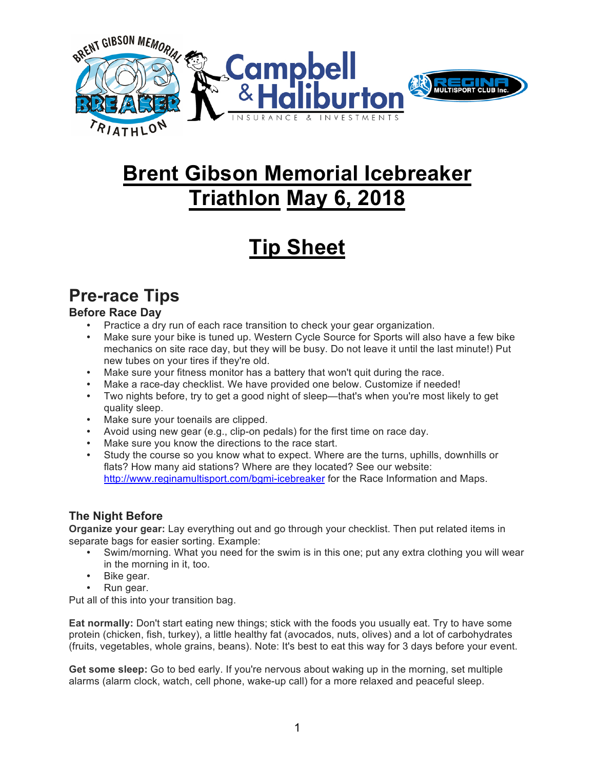

# **Brent Gibson Memorial Icebreaker Triathlon May 6, 2018**

# **Tip Sheet**

# **Pre-race Tips**

### **Before Race Day**

- Practice a dry run of each race transition to check your gear organization.
- Make sure your bike is tuned up. Western Cycle Source for Sports will also have a few bike mechanics on site race day, but they will be busy. Do not leave it until the last minute!) Put new tubes on your tires if they're old.
- Make sure your fitness monitor has a battery that won't quit during the race.
- Make a race-day checklist. We have provided one below. Customize if needed!
- Two nights before, try to get a good night of sleep—that's when you're most likely to get quality sleep.
- Make sure your toenails are clipped.
- Avoid using new gear (e.g., clip-on pedals) for the first time on race day.
- Make sure you know the directions to the race start.
- Study the course so you know what to expect. Where are the turns, uphills, downhills or flats? How many aid stations? Where are they located? See our website: http://www.reginamultisport.com/bgmi-icebreaker for the Race Information and Maps.

### **The Night Before**

**Organize your gear:** Lay everything out and go through your checklist. Then put related items in separate bags for easier sorting. Example:

- Swim/morning. What you need for the swim is in this one; put any extra clothing you will wear in the morning in it, too.
- Bike gear.
- Run gear.

Put all of this into your transition bag.

**Eat normally:** Don't start eating new things; stick with the foods you usually eat. Try to have some protein (chicken, fish, turkey), a little healthy fat (avocados, nuts, olives) and a lot of carbohydrates (fruits, vegetables, whole grains, beans). Note: It's best to eat this way for 3 days before your event.

**Get some sleep:** Go to bed early. If you're nervous about waking up in the morning, set multiple alarms (alarm clock, watch, cell phone, wake-up call) for a more relaxed and peaceful sleep.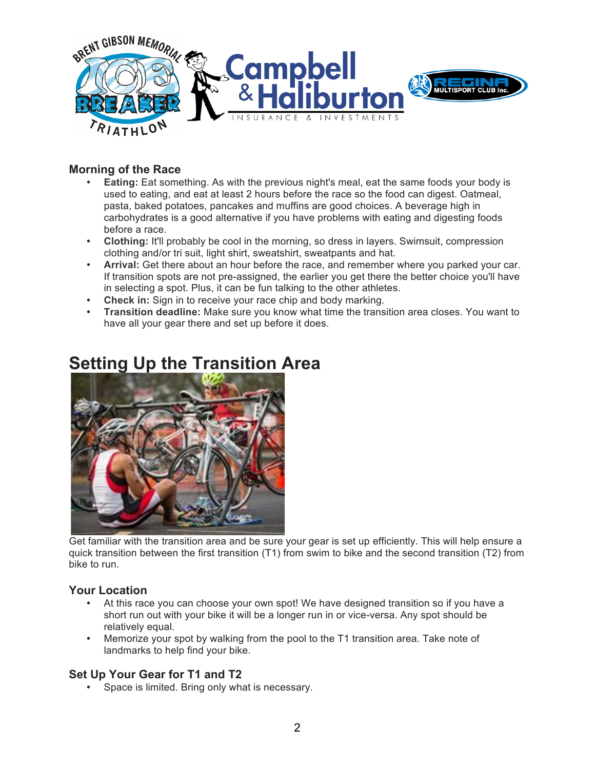

### **Morning of the Race**

- **Eating:** Eat something. As with the previous night's meal, eat the same foods your body is used to eating, and eat at least 2 hours before the race so the food can digest. Oatmeal, pasta, baked potatoes, pancakes and muffins are good choices. A beverage high in carbohydrates is a good alternative if you have problems with eating and digesting foods before a race.
- **Clothing:** It'll probably be cool in the morning, so dress in layers. Swimsuit, compression clothing and/or tri suit, light shirt, sweatshirt, sweatpants and hat.
- **Arrival:** Get there about an hour before the race, and remember where you parked your car. If transition spots are not pre-assigned, the earlier you get there the better choice you'll have in selecting a spot. Plus, it can be fun talking to the other athletes.
- **Check in:** Sign in to receive your race chip and body marking.
- **Transition deadline:** Make sure you know what time the transition area closes. You want to have all your gear there and set up before it does.



### **Setting Up the Transition Area**

Get familiar with the transition area and be sure your gear is set up efficiently. This will help ensure a quick transition between the first transition (T1) from swim to bike and the second transition (T2) from bike to run.

### **Your Location**

- At this race you can choose your own spot! We have designed transition so if you have a short run out with your bike it will be a longer run in or vice-versa. Any spot should be relatively equal.
- Memorize your spot by walking from the pool to the T1 transition area. Take note of landmarks to help find your bike.

### **Set Up Your Gear for T1 and T2**

• Space is limited. Bring only what is necessary.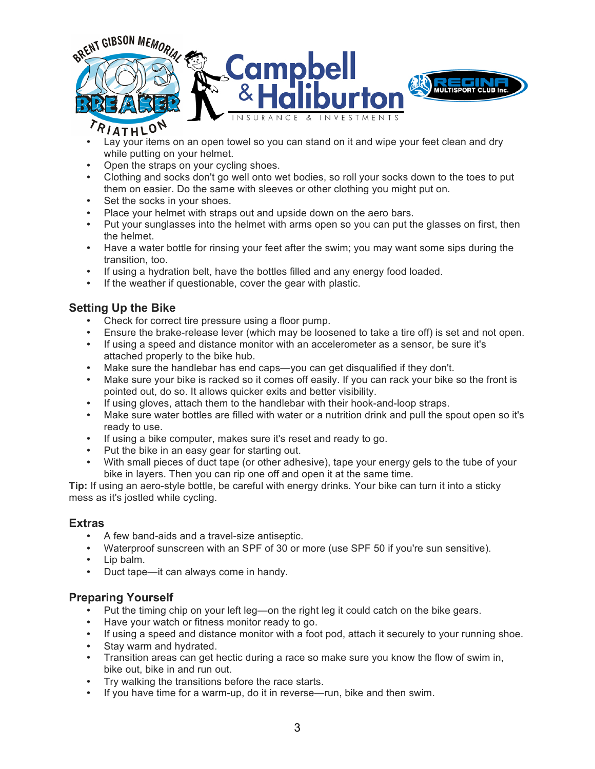

- Lay your items on an open towel so you can stand on it and wipe your feet clean and dry while putting on your helmet.
- Open the straps on your cycling shoes.
- Clothing and socks don't go well onto wet bodies, so roll your socks down to the toes to put them on easier. Do the same with sleeves or other clothing you might put on.
- Set the socks in your shoes.
- Place your helmet with straps out and upside down on the aero bars.
- Put your sunglasses into the helmet with arms open so you can put the glasses on first, then the helmet.
- Have a water bottle for rinsing your feet after the swim; you may want some sips during the transition, too.
- If using a hydration belt, have the bottles filled and any energy food loaded.
- If the weather if questionable, cover the gear with plastic.

### **Setting Up the Bike**

- Check for correct tire pressure using a floor pump.
- Ensure the brake-release lever (which may be loosened to take a tire off) is set and not open.
- If using a speed and distance monitor with an accelerometer as a sensor, be sure it's attached properly to the bike hub.
- Make sure the handlebar has end caps—you can get disqualified if they don't.
- Make sure your bike is racked so it comes off easily. If you can rack your bike so the front is pointed out, do so. It allows quicker exits and better visibility.
- If using gloves, attach them to the handlebar with their hook-and-loop straps.
- Make sure water bottles are filled with water or a nutrition drink and pull the spout open so it's ready to use.
- If using a bike computer, makes sure it's reset and ready to go.
- Put the bike in an easy gear for starting out.
- With small pieces of duct tape (or other adhesive), tape your energy gels to the tube of your bike in layers. Then you can rip one off and open it at the same time.

**Tip:** If using an aero-style bottle, be careful with energy drinks. Your bike can turn it into a sticky mess as it's jostled while cycling.

#### **Extras**

- A few band-aids and a travel-size antiseptic.
- Waterproof sunscreen with an SPF of 30 or more (use SPF 50 if you're sun sensitive).
- Lip balm.
- Duct tape—it can always come in handy.

#### **Preparing Yourself**

- Put the timing chip on your left leg—on the right leg it could catch on the bike gears.
- Have your watch or fitness monitor ready to go.
- If using a speed and distance monitor with a foot pod, attach it securely to your running shoe.
- Stay warm and hydrated.
- Transition areas can get hectic during a race so make sure you know the flow of swim in, bike out, bike in and run out.
- Try walking the transitions before the race starts.
- If you have time for a warm-up, do it in reverse—run, bike and then swim.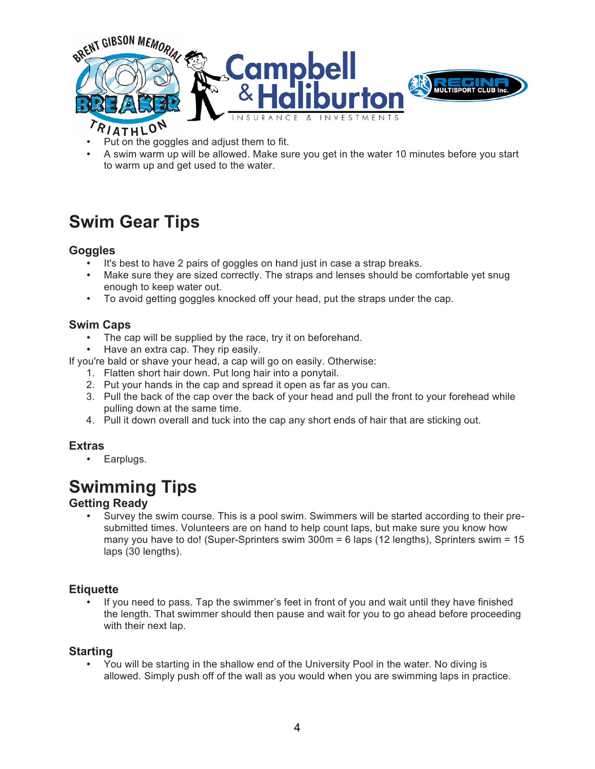

- Put on the goggles and adjust them to fit.
- A swim warm up will be allowed. Make sure you get in the water 10 minutes before you start to warm up and get used to the water.

## **Swim Gear Tips**

### **Goggles**

- It's best to have 2 pairs of goggles on hand just in case a strap breaks.
- Make sure they are sized correctly. The straps and lenses should be comfortable yet snug enough to keep water out.
- To avoid getting goggles knocked off your head, put the straps under the cap.

### **Swim Caps**

- The cap will be supplied by the race, try it on beforehand.
- Have an extra cap. They rip easily.

If you're bald or shave your head, a cap will go on easily. Otherwise:

- 1. Flatten short hair down. Put long hair into a ponytail.
- 2. Put your hands in the cap and spread it open as far as you can.
- 3. Pull the back of the cap over the back of your head and pull the front to your forehead while pulling down at the same time.
- 4. Pull it down overall and tuck into the cap any short ends of hair that are sticking out.

### **Extras**

• Earplugs.

# **Swimming Tips**

### **Getting Ready**

• Survey the swim course. This is a pool swim. Swimmers will be started according to their presubmitted times. Volunteers are on hand to help count laps, but make sure you know how many you have to do! (Super-Sprinters swim 300m = 6 laps (12 lengths), Sprinters swim = 15 laps (30 lengths).

### **Etiquette**

• If you need to pass. Tap the swimmer's feet in front of you and wait until they have finished the length. That swimmer should then pause and wait for you to go ahead before proceeding with their next lap.

### **Starting**

• You will be starting in the shallow end of the University Pool in the water. No diving is allowed. Simply push off of the wall as you would when you are swimming laps in practice.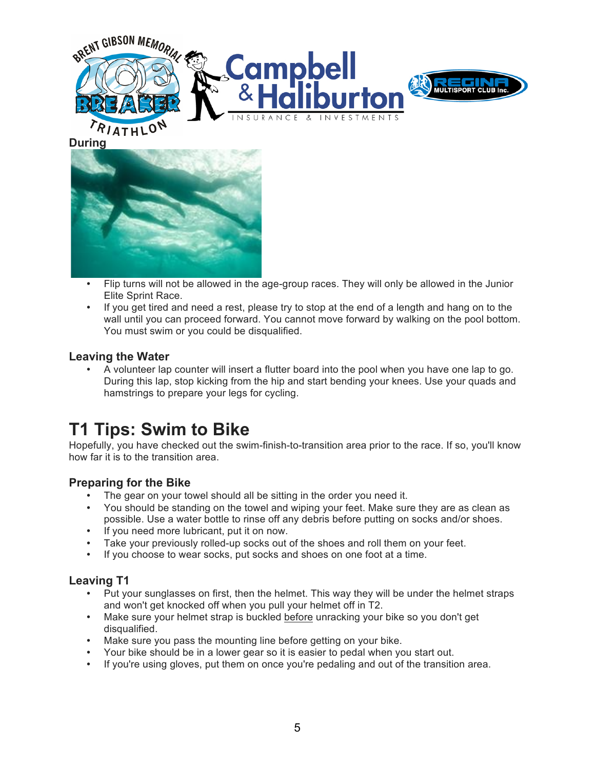



- Flip turns will not be allowed in the age-group races. They will only be allowed in the Junior Elite Sprint Race.
- If you get tired and need a rest, please try to stop at the end of a length and hang on to the wall until you can proceed forward. You cannot move forward by walking on the pool bottom. You must swim or you could be disqualified.

### **Leaving the Water**

• A volunteer lap counter will insert a flutter board into the pool when you have one lap to go. During this lap, stop kicking from the hip and start bending your knees. Use your quads and hamstrings to prepare your legs for cycling.

### **T1 Tips: Swim to Bike**

Hopefully, you have checked out the swim-finish-to-transition area prior to the race. If so, you'll know how far it is to the transition area.

### **Preparing for the Bike**

- The gear on your towel should all be sitting in the order you need it.
- You should be standing on the towel and wiping your feet. Make sure they are as clean as possible. Use a water bottle to rinse off any debris before putting on socks and/or shoes.
- If you need more lubricant, put it on now.
- Take your previously rolled-up socks out of the shoes and roll them on your feet.<br>• If you choose to wear socks, put socks and shoes on one foot at a time
- If you choose to wear socks, put socks and shoes on one foot at a time.

### **Leaving T1**

- Put your sunglasses on first, then the helmet. This way they will be under the helmet straps and won't get knocked off when you pull your helmet off in T2.
- Make sure your helmet strap is buckled before unracking your bike so you don't get disqualified.
- Make sure you pass the mounting line before getting on your bike.
- Your bike should be in a lower gear so it is easier to pedal when you start out.
- If you're using gloves, put them on once you're pedaling and out of the transition area.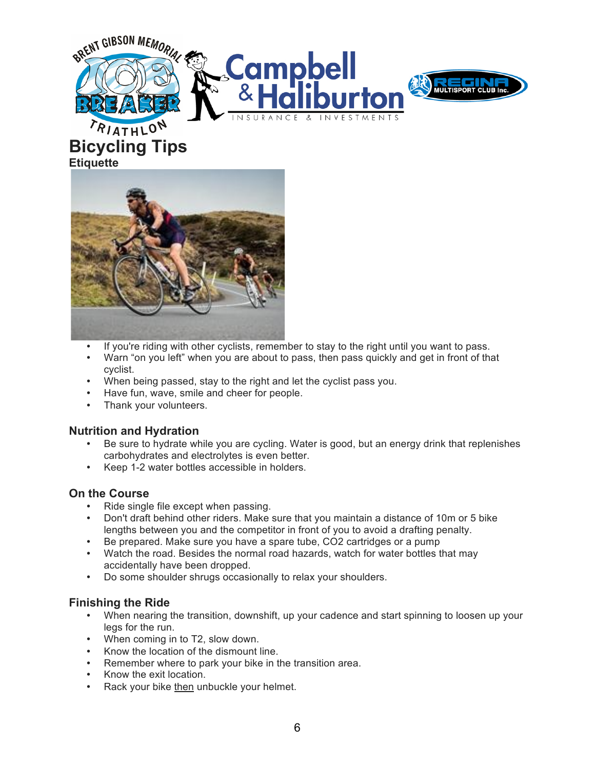



# **Bicycling Tips Etiquette**



- If you're riding with other cyclists, remember to stay to the right until you want to pass.
- Warn "on you left" when you are about to pass, then pass quickly and get in front of that cyclist.
- When being passed, stay to the right and let the cyclist pass you.
- Have fun, wave, smile and cheer for people.
- Thank your volunteers.

#### **Nutrition and Hydration**

- Be sure to hydrate while you are cycling. Water is good, but an energy drink that replenishes carbohydrates and electrolytes is even better.
- Keep 1-2 water bottles accessible in holders.

### **On the Course**

- Ride single file except when passing.
- Don't draft behind other riders. Make sure that you maintain a distance of 10m or 5 bike lengths between you and the competitor in front of you to avoid a drafting penalty.
- Be prepared. Make sure you have a spare tube, CO2 cartridges or a pump
- Watch the road. Besides the normal road hazards, watch for water bottles that may accidentally have been dropped.
- Do some shoulder shrugs occasionally to relax your shoulders.

### **Finishing the Ride**

- When nearing the transition, downshift, up your cadence and start spinning to loosen up your legs for the run.
- When coming in to T2, slow down.
- Know the location of the dismount line.
- Remember where to park your bike in the transition area.
- Know the exit location.
- Rack your bike then unbuckle your helmet.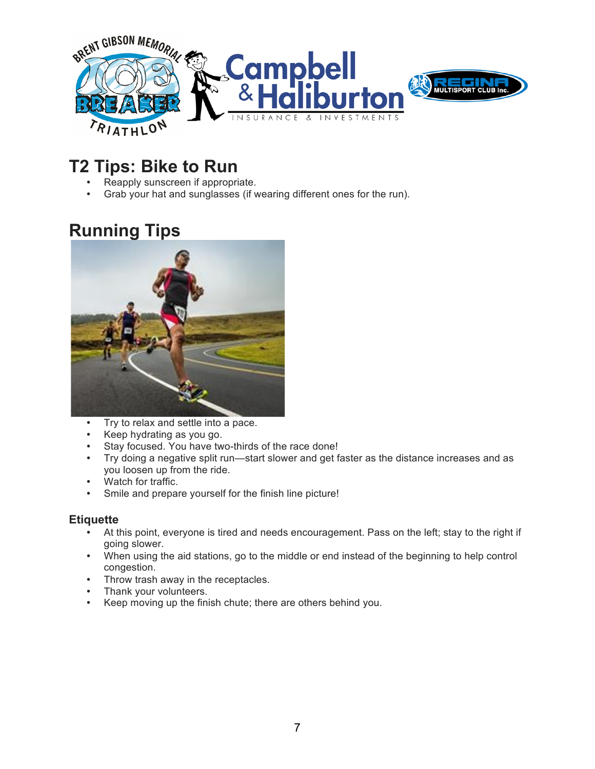

### **T2 Tips: Bike to Run**

- Reapply sunscreen if appropriate.<br>• Grab your hat and sunglasses (if y
- Grab your hat and sunglasses (if wearing different ones for the run).

# **Running Tips**



- Try to relax and settle into a pace.
- Keep hydrating as you go.
- Stay focused. You have two-thirds of the race done!
- Try doing a negative split run—start slower and get faster as the distance increases and as you loosen up from the ride.
- Watch for traffic.
- Smile and prepare yourself for the finish line picture!

### **Etiquette**

- At this point, everyone is tired and needs encouragement. Pass on the left; stay to the right if going slower.
- When using the aid stations, go to the middle or end instead of the beginning to help control congestion.
- Throw trash away in the receptacles.
- Thank your volunteers.
- Keep moving up the finish chute; there are others behind you.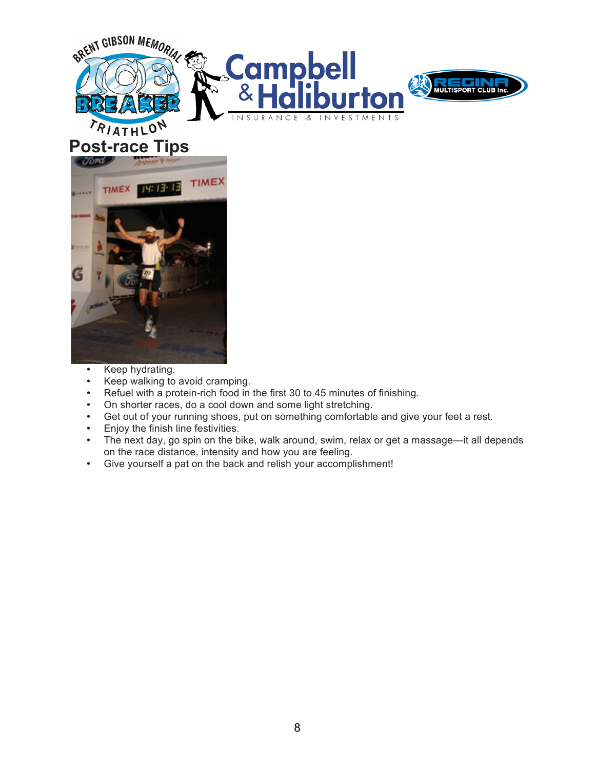







- Keep hydrating.<br>• Keep walking to
- Keep walking to avoid cramping.
- Refuel with a protein-rich food in the first 30 to 45 minutes of finishing.
- On shorter races, do a cool down and some light stretching.
- Get out of your running shoes, put on something comfortable and give your feet a rest.
- Enjoy the finish line festivities.
- The next day, go spin on the bike, walk around, swim, relax or get a massage—it all depends on the race distance, intensity and how you are feeling.
- Give yourself a pat on the back and relish your accomplishment!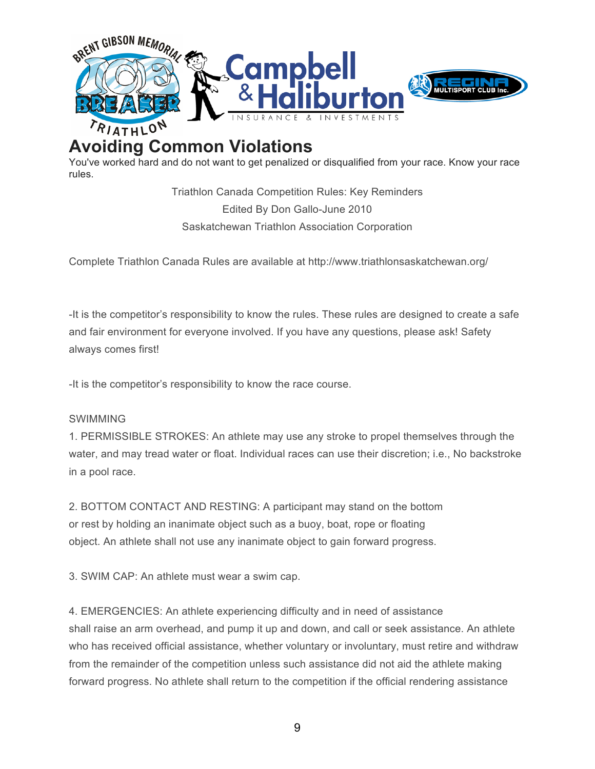

# **Avoiding Common Violations**

You've worked hard and do not want to get penalized or disqualified from your race. Know your race rules.

> Triathlon Canada Competition Rules: Key Reminders Edited By Don Gallo-June 2010 Saskatchewan Triathlon Association Corporation

Complete Triathlon Canada Rules are available at http://www.triathlonsaskatchewan.org/

-It is the competitor's responsibility to know the rules. These rules are designed to create a safe and fair environment for everyone involved. If you have any questions, please ask! Safety always comes first!

-It is the competitor's responsibility to know the race course.

#### SWIMMING

1. PERMISSIBLE STROKES: An athlete may use any stroke to propel themselves through the water, and may tread water or float. Individual races can use their discretion; i.e., No backstroke in a pool race.

2. BOTTOM CONTACT AND RESTING: A participant may stand on the bottom or rest by holding an inanimate object such as a buoy, boat, rope or floating object. An athlete shall not use any inanimate object to gain forward progress.

3. SWIM CAP: An athlete must wear a swim cap.

4. EMERGENCIES: An athlete experiencing difficulty and in need of assistance shall raise an arm overhead, and pump it up and down, and call or seek assistance. An athlete who has received official assistance, whether voluntary or involuntary, must retire and withdraw from the remainder of the competition unless such assistance did not aid the athlete making forward progress. No athlete shall return to the competition if the official rendering assistance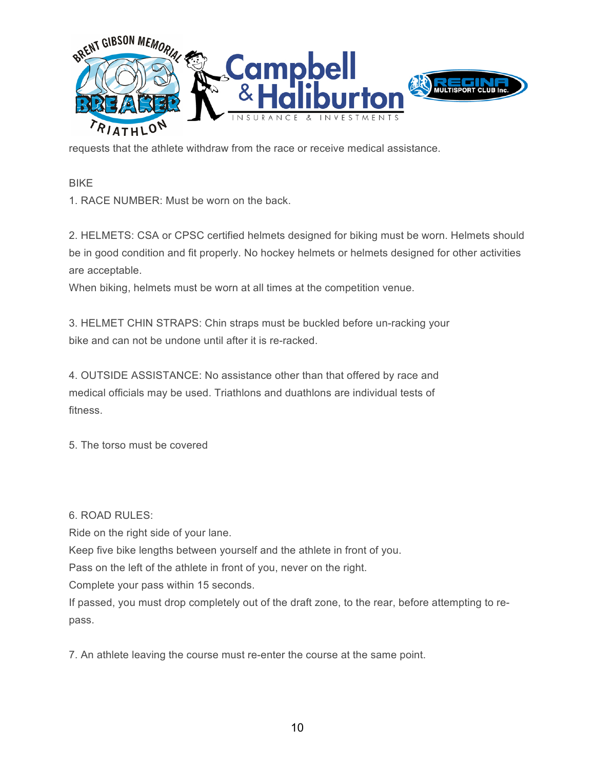

requests that the athlete withdraw from the race or receive medical assistance.

BIKE

1. RACE NUMBER: Must be worn on the back.

2. HELMETS: CSA or CPSC certified helmets designed for biking must be worn. Helmets should be in good condition and fit properly. No hockey helmets or helmets designed for other activities are acceptable.

When biking, helmets must be worn at all times at the competition venue.

3. HELMET CHIN STRAPS: Chin straps must be buckled before un-racking your bike and can not be undone until after it is re-racked.

4. OUTSIDE ASSISTANCE: No assistance other than that offered by race and medical officials may be used. Triathlons and duathlons are individual tests of fitness.

5. The torso must be covered

 $6.$  ROAD RULES:

Ride on the right side of your lane.

Keep five bike lengths between yourself and the athlete in front of you.

Pass on the left of the athlete in front of you, never on the right.

Complete your pass within 15 seconds.

If passed, you must drop completely out of the draft zone, to the rear, before attempting to repass.

7. An athlete leaving the course must re-enter the course at the same point.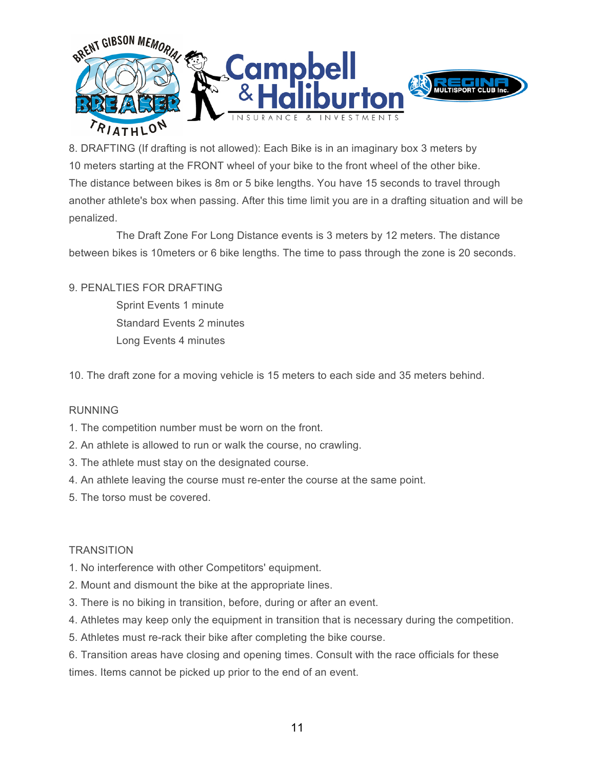

8. DRAFTING (If drafting is not allowed): Each Bike is in an imaginary box 3 meters by 10 meters starting at the FRONT wheel of your bike to the front wheel of the other bike. The distance between bikes is 8m or 5 bike lengths. You have 15 seconds to travel through another athlete's box when passing. After this time limit you are in a drafting situation and will be penalized.

 The Draft Zone For Long Distance events is 3 meters by 12 meters. The distance between bikes is 10meters or 6 bike lengths. The time to pass through the zone is 20 seconds.

### 9. PENALTIES FOR DRAFTING

 Sprint Events 1 minute Standard Events 2 minutes Long Events 4 minutes

10. The draft zone for a moving vehicle is 15 meters to each side and 35 meters behind.

#### RUNNING

- 1. The competition number must be worn on the front.
- 2. An athlete is allowed to run or walk the course, no crawling.
- 3. The athlete must stay on the designated course.
- 4. An athlete leaving the course must re-enter the course at the same point.
- 5. The torso must be covered.

### **TRANSITION**

- 1. No interference with other Competitors' equipment.
- 2. Mount and dismount the bike at the appropriate lines.
- 3. There is no biking in transition, before, during or after an event.
- 4. Athletes may keep only the equipment in transition that is necessary during the competition.
- 5. Athletes must re-rack their bike after completing the bike course.
- 6. Transition areas have closing and opening times. Consult with the race officials for these times. Items cannot be picked up prior to the end of an event.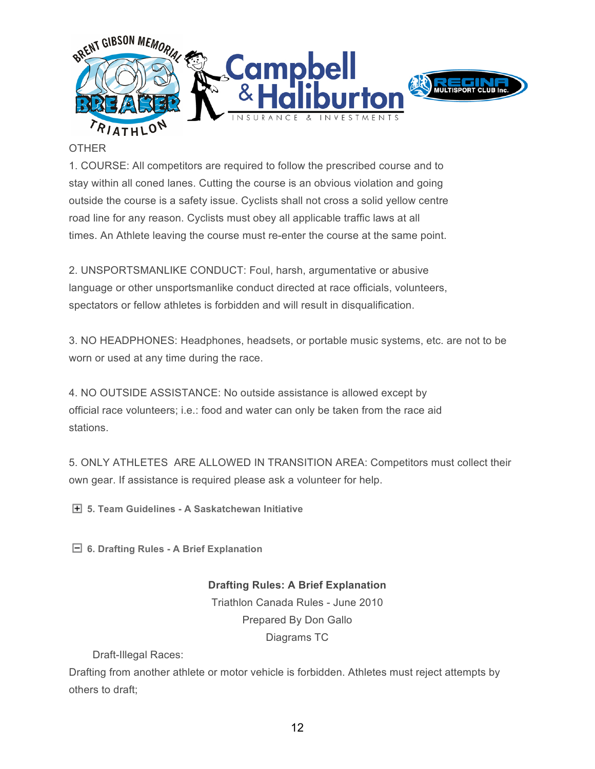

#### **OTHER**

1. COURSE: All competitors are required to follow the prescribed course and to stay within all coned lanes. Cutting the course is an obvious violation and going outside the course is a safety issue. Cyclists shall not cross a solid yellow centre road line for any reason. Cyclists must obey all applicable traffic laws at all times. An Athlete leaving the course must re-enter the course at the same point.

2. UNSPORTSMANLIKE CONDUCT: Foul, harsh, argumentative or abusive language or other unsportsmanlike conduct directed at race officials, volunteers, spectators or fellow athletes is forbidden and will result in disqualification.

3. NO HEADPHONES: Headphones, headsets, or portable music systems, etc. are not to be worn or used at any time during the race.

4. NO OUTSIDE ASSISTANCE: No outside assistance is allowed except by official race volunteers; i.e.: food and water can only be taken from the race aid stations.

5. ONLY ATHLETES ARE ALLOWED IN TRANSITION AREA: Competitors must collect their own gear. If assistance is required please ask a volunteer for help.

**5. Team Guidelines - A Saskatchewan Initiative**

**6. Drafting Rules - A Brief Explanation**

**Drafting Rules: A Brief Explanation** Triathlon Canada Rules - June 2010 Prepared By Don Gallo Diagrams TC

Draft-Illegal Races:

Drafting from another athlete or motor vehicle is forbidden. Athletes must reject attempts by others to draft;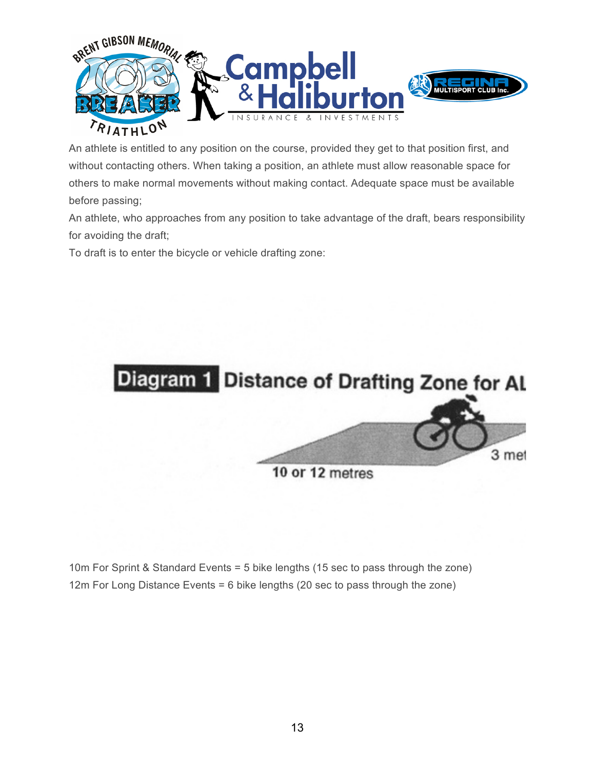

An athlete is entitled to any position on the course, provided they get to that position first, and without contacting others. When taking a position, an athlete must allow reasonable space for others to make normal movements without making contact. Adequate space must be available before passing;

An athlete, who approaches from any position to take advantage of the draft, bears responsibility for avoiding the draft;

To draft is to enter the bicycle or vehicle drafting zone:



10m For Sprint & Standard Events = 5 bike lengths (15 sec to pass through the zone) 12m For Long Distance Events = 6 bike lengths (20 sec to pass through the zone)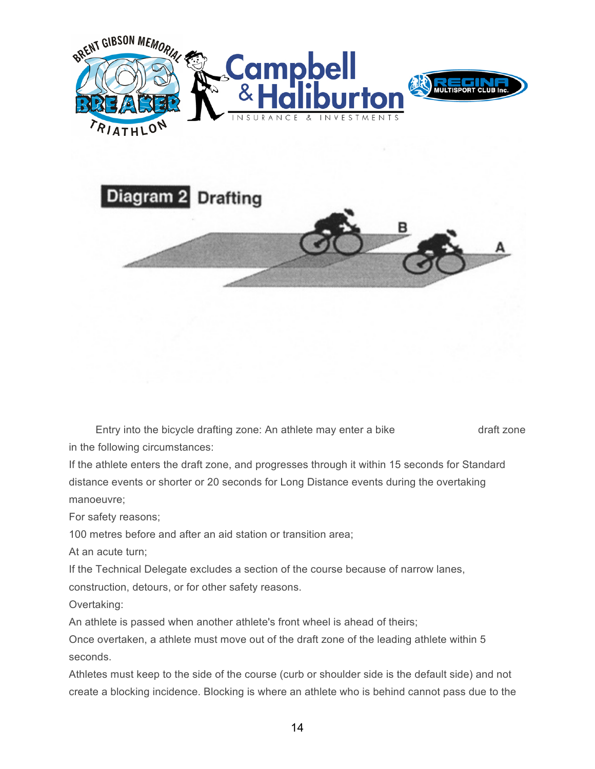

Entry into the bicycle drafting zone: An athlete may enter a bike draft zone in the following circumstances:

If the athlete enters the draft zone, and progresses through it within 15 seconds for Standard distance events or shorter or 20 seconds for Long Distance events during the overtaking manoeuvre;

For safety reasons;

100 metres before and after an aid station or transition area;

At an acute turn;

If the Technical Delegate excludes a section of the course because of narrow lanes,

construction, detours, or for other safety reasons.

Overtaking:

An athlete is passed when another athlete's front wheel is ahead of theirs;

Once overtaken, a athlete must move out of the draft zone of the leading athlete within 5 seconds.

Athletes must keep to the side of the course (curb or shoulder side is the default side) and not create a blocking incidence. Blocking is where an athlete who is behind cannot pass due to the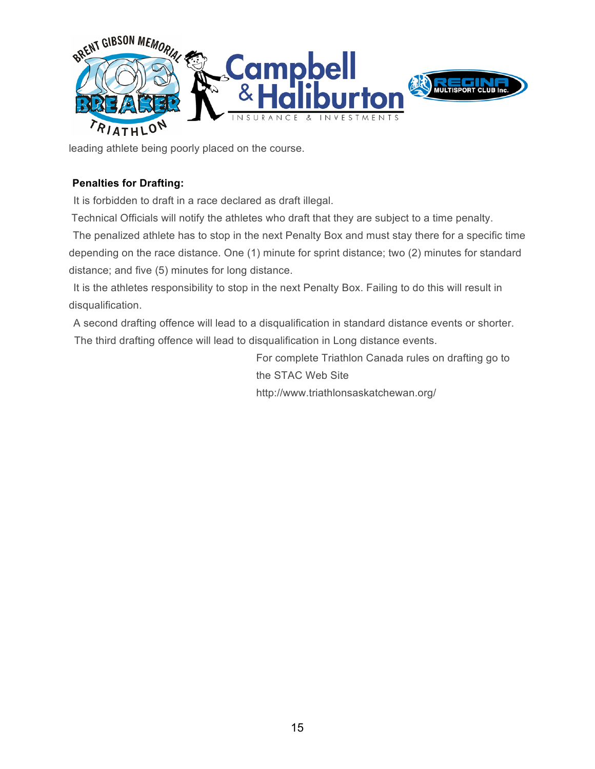

leading athlete being poorly placed on the course.

### **1.1. Penalties for Drafting:**

It is forbidden to draft in a race declared as draft illegal.

Technical Officials will notify the athletes who draft that they are subject to a time penalty.

The penalized athlete has to stop in the next Penalty Box and must stay there for a specific time depending on the race distance. One (1) minute for sprint distance; two (2) minutes for standard distance; and five (5) minutes for long distance.

It is the athletes responsibility to stop in the next Penalty Box. Failing to do this will result in disqualification.

A second drafting offence will lead to a disqualification in standard distance events or shorter. The third drafting offence will lead to disqualification in Long distance events.

> For complete Triathlon Canada rules on drafting go to the STAC Web Site http://www.triathlonsaskatchewan.org/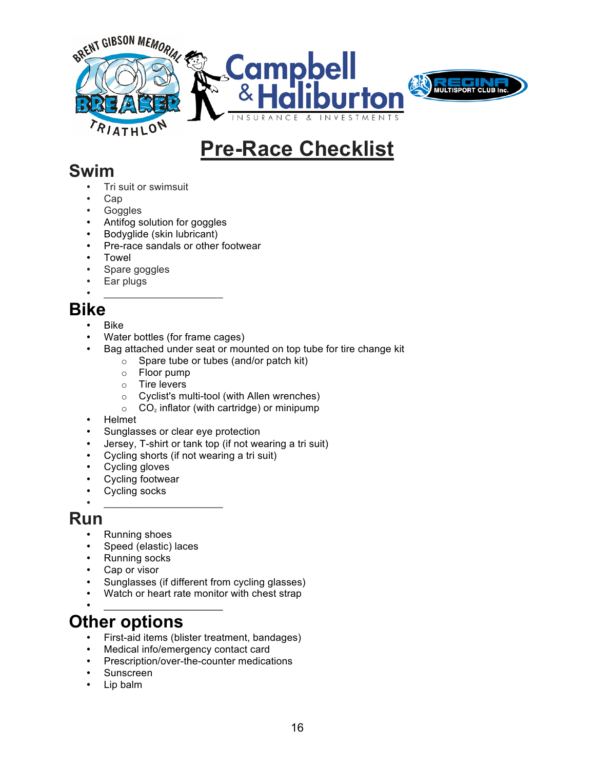

# **Pre-Race Checklist**

### **Swim**

- Tri suit or swimsuit
- Cap
- Goggles
- Antifog solution for goggles
- Bodyglide (skin lubricant)
- Pre-race sandals or other footwear
- Towel
- Spare goggles<br>• Far plugs
- Ear plugs

### • \_\_\_\_\_\_\_\_\_\_\_\_\_\_\_\_\_\_\_\_\_ **Bike**

- Bike
- Water bottles (for frame cages)
- Bag attached under seat or mounted on top tube for tire change kit
	- o Spare tube or tubes (and/or patch kit)
	- o Floor pump
	- o Tire levers
	- o Cyclist's multi-tool (with Allen wrenches)
	- $\circ$  CO<sub>2</sub> inflator (with cartridge) or minipump
- Helmet
- Sunglasses or clear eye protection
- Jersey, T-shirt or tank top (if not wearing a tri suit)
- Cycling shorts (if not wearing a tri suit)
- Cycling gloves
- Cycling footwear<br>• Cycling socks
- Cycling socks
- \_\_\_\_\_\_\_\_\_\_\_\_\_\_\_\_\_\_\_\_\_

### **Run**

- Running shoes
- Speed (elastic) laces<br>• Running socks
- Running socks
- Cap or visor
- Sunglasses (if different from cycling glasses)
- Watch or heart rate monitor with chest strap
- \_\_\_\_\_\_\_\_\_\_\_\_\_\_\_\_\_\_\_\_\_

## **Other options**

- First-aid items (blister treatment, bandages)
- Medical info/emergency contact card
- Prescription/over-the-counter medications
- Sunscreen<br>• Lip balm
- Lip balm